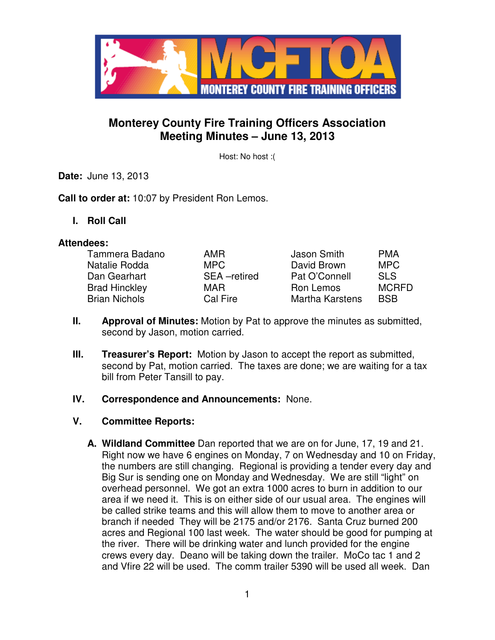

# **Monterey County Fire Training Officers Association Meeting Minutes – June 13, 2013**

Host: No host :(

**Date:** June 13, 2013

**Call to order at:** 10:07 by President Ron Lemos.

**I. Roll Call** 

#### **Attendees:**

| Tammera Badano       | AMR         | Jason Smith     | <b>PMA</b>   |
|----------------------|-------------|-----------------|--------------|
| Natalie Rodda        | MPC.        | David Brown     | <b>MPC</b>   |
| Dan Gearhart         | SEA-retired | Pat O'Connell   | <b>SLS</b>   |
| <b>Brad Hinckley</b> | MAR         | Ron Lemos       | <b>MCRFD</b> |
| <b>Brian Nichols</b> | Cal Fire    | Martha Karstens | <b>BSB</b>   |

- **II. Approval of Minutes:** Motion by Pat to approve the minutes as submitted, second by Jason, motion carried.
- **III. Treasurer's Report:** Motion by Jason to accept the report as submitted, second by Pat, motion carried. The taxes are done; we are waiting for a tax bill from Peter Tansill to pay.
- **IV. Correspondence and Announcements:** None.
- **V. Committee Reports:**
	- **A. Wildland Committee** Dan reported that we are on for June, 17, 19 and 21. Right now we have 6 engines on Monday, 7 on Wednesday and 10 on Friday, the numbers are still changing. Regional is providing a tender every day and Big Sur is sending one on Monday and Wednesday. We are still "light" on overhead personnel. We got an extra 1000 acres to burn in addition to our area if we need it. This is on either side of our usual area. The engines will be called strike teams and this will allow them to move to another area or branch if needed They will be 2175 and/or 2176. Santa Cruz burned 200 acres and Regional 100 last week. The water should be good for pumping at the river. There will be drinking water and lunch provided for the engine crews every day. Deano will be taking down the trailer. MoCo tac 1 and 2 and Vfire 22 will be used. The comm trailer 5390 will be used all week. Dan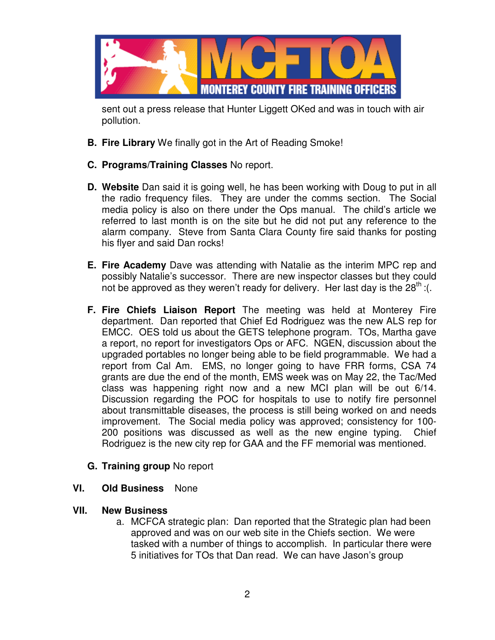

sent out a press release that Hunter Liggett OKed and was in touch with air pollution.

- **B. Fire Library** We finally got in the Art of Reading Smoke!
- **C. Programs/Training Classes** No report.
- **D. Website** Dan said it is going well, he has been working with Doug to put in all the radio frequency files. They are under the comms section. The Social media policy is also on there under the Ops manual. The child's article we referred to last month is on the site but he did not put any reference to the alarm company. Steve from Santa Clara County fire said thanks for posting his flyer and said Dan rocks!
- **E. Fire Academy** Dave was attending with Natalie as the interim MPC rep and possibly Natalie's successor. There are new inspector classes but they could not be approved as they weren't ready for delivery. Her last day is the  $28^{th}$  :(.
- **F. Fire Chiefs Liaison Report** The meeting was held at Monterey Fire department. Dan reported that Chief Ed Rodriguez was the new ALS rep for EMCC.OES told us about the GETS telephone program. TOs, Martha gave a report, no report for investigators Ops or AFC. NGEN, discussion about the upgraded portables no longer being able to be field programmable. We had a report from Cal Am. EMS, no longer going to have FRR forms, CSA 74 grants are due the end of the month, EMS week was on May 22, the Tac/Med class was happening right now and a new MCI plan will be out 6/14. Discussion regarding the POC for hospitals to use to notify fire personnel about transmittable diseases, the process is still being worked on and needs improvement. The Social media policy was approved; consistency for 100- 200 positions was discussed as well as the new engine typing. Chief Rodriguez is the new city rep for GAA and the FF memorial was mentioned.

# **G. Training group** No report

#### **VI. Old Business** None

#### **VII. New Business**

a. MCFCA strategic plan: Dan reported that the Strategic plan had been approved and was on our web site in the Chiefs section. We were tasked with a number of things to accomplish. In particular there were 5 initiatives for TOs that Dan read. We can have Jason's group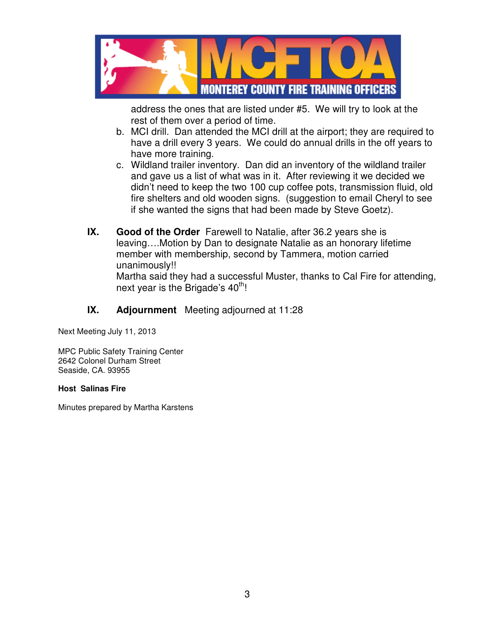

address the ones that are listed under #5. We will try to look at the rest of them over a period of time.

- b. MCI drill. Dan attended the MCI drill at the airport; they are required to have a drill every 3 years. We could do annual drills in the off years to have more training.
- c. Wildland trailer inventory. Dan did an inventory of the wildland trailer and gave us a list of what was in it. After reviewing it we decided we didn't need to keep the two 100 cup coffee pots, transmission fluid, old fire shelters and old wooden signs. (suggestion to email Cheryl to see if she wanted the signs that had been made by Steve Goetz).
- **IX. Good of the Order** Farewell to Natalie, after 36.2 years she is leaving….Motion by Dan to designate Natalie as an honorary lifetime member with membership, second by Tammera, motion carried unanimously!!

Martha said they had a successful Muster, thanks to Cal Fire for attending, next year is the Brigade's  $40<sup>th</sup>$ !

## **IX. Adjournment** Meeting adjourned at 11:28

Next Meeting July 11, 2013

MPC Public Safety Training Center 2642 Colonel Durham Street Seaside, CA. 93955

#### **Host Salinas Fire**

Minutes prepared by Martha Karstens